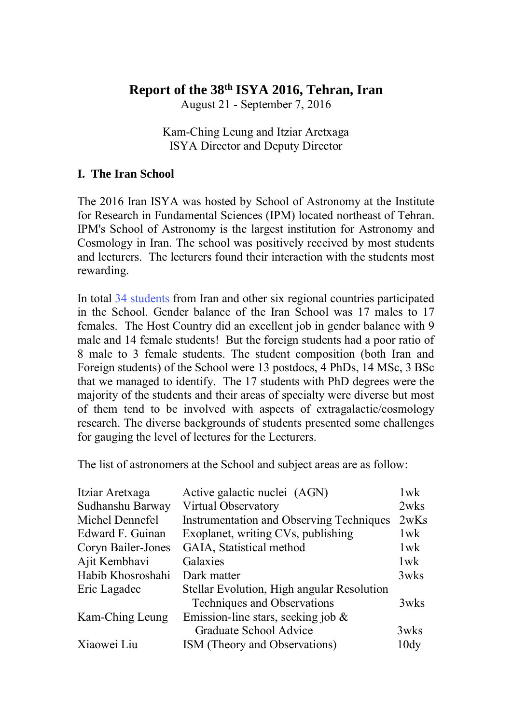# **Report of the 38th ISYA 2016, Tehran, Iran**

August 21 - September 7, 2016

Kam-Ching Leung and Itziar Aretxaga ISYA Director and Deputy Director

## **I. The Iran School**

The 2016 Iran ISYA was hosted by School of Astronomy at the Institute for Research in Fundamental Sciences (IPM) located northeast of Tehran. IPM's School of Astronomy is the largest institution for Astronomy and Cosmology in Iran. The school was positively received by most students and lecturers. The lecturers found their interaction with the students most rewarding.

In total [34 students](http://www.iau.org/static/science/collaborative/young_astronomers/2016-iran-isya-alumni_23_aug.pdf) from Iran and other six regional countries participated in the School. Gender balance of the Iran School was 17 males to 17 females. The Host Country did an excellent job in gender balance with 9 male and 14 female students! But the foreign students had a poor ratio of 8 male to 3 female students. The student composition (both Iran and Foreign students) of the School were 13 postdocs, 4 PhDs, 14 MSc, 3 BSc that we managed to identify. The 17 students with PhD degrees were the majority of the students and their areas of specialty were diverse but most of them tend to be involved with aspects of extragalactic/cosmology research. The diverse backgrounds of students presented some challenges for gauging the level of lectures for the Lecturers.

The list of astronomers at the School and subject areas are as follow:

| Active galactic nuclei (AGN)               | $1$ w $k$ |
|--------------------------------------------|-----------|
| Virtual Observatory                        | 2wks      |
| Instrumentation and Observing Techniques   | 2wKs      |
| Exoplanet, writing CVs, publishing         | $1$ w $k$ |
| GAIA, Statistical method                   | $1$ w $k$ |
| Galaxies                                   | 1wk       |
| Dark matter                                | 3wks      |
| Stellar Evolution, High angular Resolution |           |
| Techniques and Observations                | 3wks      |
| Emission-line stars, seeking job $\&$      |           |
| Graduate School Advice                     | 3wks      |
| ISM (Theory and Observations)              | 10dy      |
|                                            |           |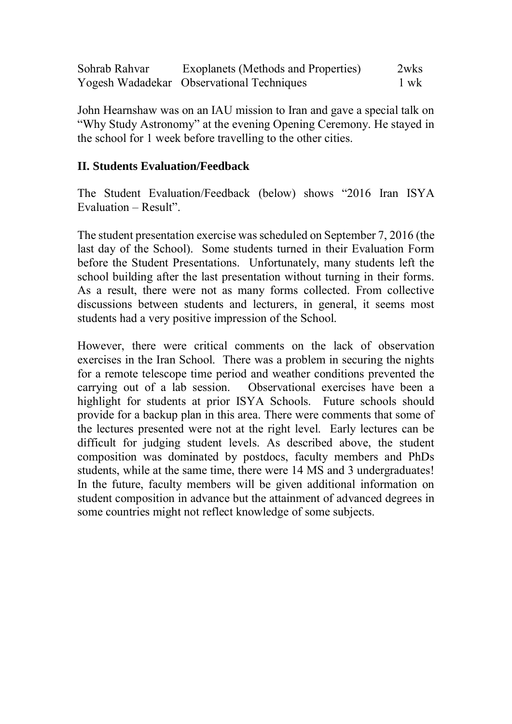| Sohrab Rahvar | Exoplanets (Methods and Properties)       | 2wks |
|---------------|-------------------------------------------|------|
|               | Yogesh Wadadekar Observational Techniques | 1 wk |

John Hearnshaw was on an IAU mission to Iran and gave a special talk on "Why Study Astronomy" at the evening Opening Ceremony. He stayed in the school for 1 week before travelling to the other cities.

## **II. Students Evaluation/Feedback**

The Student Evaluation/Feedback (below) shows "2016 Iran ISYA Evaluation – Result".

The student presentation exercise was scheduled on September 7, 2016 (the last day of the School). Some students turned in their Evaluation Form before the Student Presentations. Unfortunately, many students left the school building after the last presentation without turning in their forms. As a result, there were not as many forms collected. From collective discussions between students and lecturers, in general, it seems most students had a very positive impression of the School.

However, there were critical comments on the lack of observation exercises in the Iran School. There was a problem in securing the nights for a remote telescope time period and weather conditions prevented the carrying out of a lab session. Observational exercises have been a highlight for students at prior ISYA Schools. Future schools should provide for a backup plan in this area. There were comments that some of the lectures presented were not at the right level. Early lectures can be difficult for judging student levels. As described above, the student composition was dominated by postdocs, faculty members and PhDs students, while at the same time, there were 14 MS and 3 undergraduates! In the future, faculty members will be given additional information on student composition in advance but the attainment of advanced degrees in some countries might not reflect knowledge of some subjects.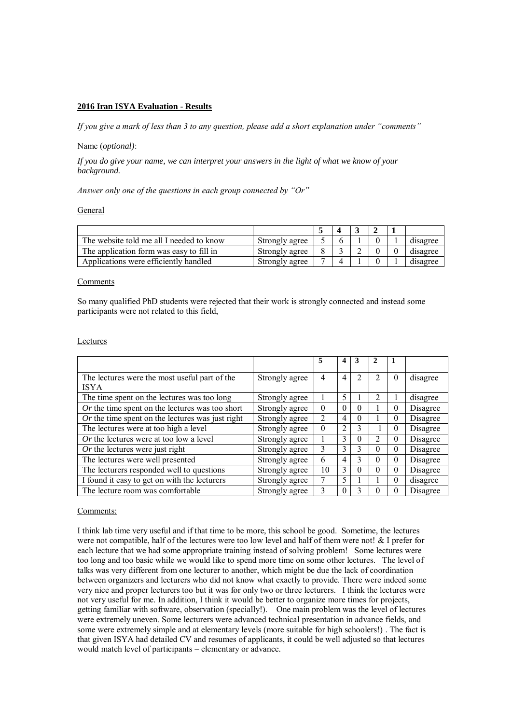## **2016 Iran ISYA Evaluation - Results**

*If you give a mark of less than 3 to any question, please add a short explanation under "comments"*

### Name (*optional)*:

*If you do give your name, we can interpret your answers in the light of what we know of your background.* 

*Answer only one of the questions in each group connected by "Or"*

#### General

| The website told me all I needed to know | Strongly agree |  |  | disagree |
|------------------------------------------|----------------|--|--|----------|
| The application form was easy to fill in | Strongly agree |  |  | disagree |
| Applications were efficiently handled    | Strongly agree |  |  | disagree |

#### Comments

So many qualified PhD students were rejected that their work is strongly connected and instead some participants were not related to this field,

## Lectures

|                                                              |                | 5              | 4              | 3              |                |          |          |
|--------------------------------------------------------------|----------------|----------------|----------------|----------------|----------------|----------|----------|
| The lectures were the most useful part of the<br><b>ISYA</b> | Strongly agree | 4              | $\overline{4}$ | $\mathfrak{D}$ | 2              | $\theta$ | disagree |
| The time spent on the lectures was too long                  | Strongly agree |                | 5              |                | $\mathfrak{D}$ |          | disagree |
| $Or$ the time spent on the lectures was too short            | Strongly agree | $\Omega$       | $\theta$       | $\Omega$       |                | $\theta$ | Disagree |
| $Or$ the time spent on the lectures was just right           | Strongly agree | $\mathfrak{D}$ | 4              | $\Omega$       |                | $\theta$ | Disagree |
| The lectures were at too high a level                        | Strongly agree | $\theta$       | 2              | 3              |                | $\theta$ | Disagree |
| Or the lectures were at too low a level                      | Strongly agree |                | 3              | $\Omega$       | $\overline{2}$ | $\theta$ | Disagree |
| Or the lectures were just right                              | Strongly agree | 3              | $\mathcal{E}$  | 3              | $\theta$       | $\theta$ | Disagree |
| The lectures were well presented                             | Strongly agree | 6              | 4              | 3              | $\Omega$       | $\theta$ | Disagree |
| The lecturers responded well to questions                    | Strongly agree | 10             | $\mathcal{E}$  | $\Omega$       | $\theta$       | $\Omega$ | Disagree |
| I found it easy to get on with the lecturers                 | Strongly agree | 7              | 5              |                |                | 0        | disagree |
| The lecture room was comfortable                             | Strongly agree | 3              | $\theta$       |                | $\theta$       | $\Omega$ | Disagree |

#### Comments:

I think lab time very useful and if that time to be more, this school be good. Sometime, the lectures were not compatible, half of the lectures were too low level and half of them were not! & I prefer for each lecture that we had some appropriate training instead of solving problem! Some lectures were too long and too basic while we would like to spend more time on some other lectures. The level of talks was very different from one lecturer to another, which might be due the lack of coordination between organizers and lecturers who did not know what exactly to provide. There were indeed some very nice and proper lecturers too but it was for only two or three lecturers. I think the lectures were not very useful for me. In addition, I think it would be better to organize more times for projects, getting familiar with software, observation (specially!). One main problem was the level of lectures were extremely uneven. Some lecturers were advanced technical presentation in advance fields, and some were extremely simple and at elementary levels (more suitable for high schoolers!) . The fact is that given ISYA had detailed CV and resumes of applicants, it could be well adjusted so that lectures would match level of participants – elementary or advance.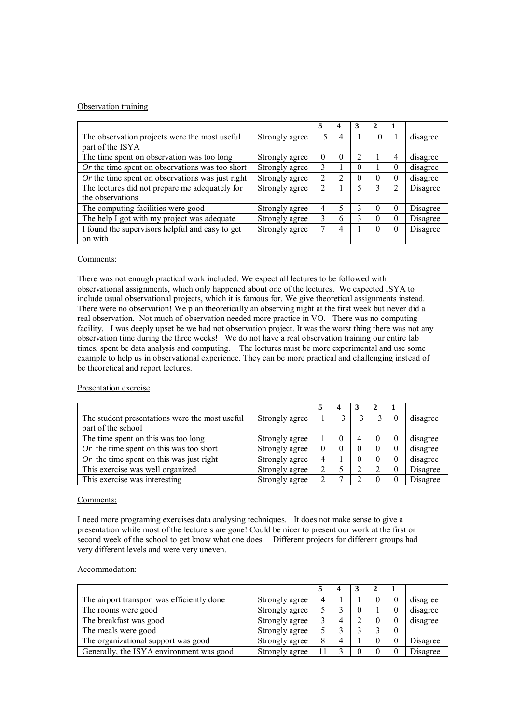### Observation training

|                                                    |                | 5              |   | 3        |          |   |          |
|----------------------------------------------------|----------------|----------------|---|----------|----------|---|----------|
| The observation projects were the most useful      | Strongly agree | 5              | 4 |          | $\theta$ |   | disagree |
| part of the ISYA                                   |                |                |   |          |          |   |          |
| The time spent on observation was too long         | Strongly agree | $\theta$       | 0 | 2        |          | 4 | disagree |
| $Or$ the time spent on observations was too short  | Strongly agree | 3              |   | $\Omega$ |          | 0 | disagree |
| $Or$ the time spent on observations was just right | Strongly agree | $\overline{2}$ | າ | $\Omega$ | $\Omega$ | 0 | disagree |
| The lectures did not prepare me adequately for     | Strongly agree | $\overline{2}$ |   |          |          | 2 | Disagree |
| the observations                                   |                |                |   |          |          |   |          |
| The computing facilities were good                 | Strongly agree | 4              |   | 3        | $\theta$ | 0 | Disagree |
| The help I got with my project was adequate        | Strongly agree | 3              | 6 | 3        | $\Omega$ | 0 | Disagree |
| I found the supervisors helpful and easy to get    | Strongly agree |                | 4 |          | $\theta$ | 0 | Disagree |
| on with                                            |                |                |   |          |          |   |          |

#### Comments:

There was not enough practical work included. We expect all lectures to be followed with observational assignments, which only happened about one of the lectures. We expected ISYA to include usual observational projects, which it is famous for. We give theoretical assignments instead. There were no observation! We plan theoretically an observing night at the first week but never did a real observation. Not much of observation needed more practice in VO. There was no computing facility. I was deeply upset be we had not observation project. It was the worst thing there was not any observation time during the three weeks! We do not have a real observation training our entire lab times, spent be data analysis and computing. The lectures must be more experimental and use some example to help us in observational experience. They can be more practical and challenging instead of be theoretical and report lectures.

#### Presentation exercise

| The student presentations were the most useful | Strongly agree |          |   |          | $\Omega$ | disagree |
|------------------------------------------------|----------------|----------|---|----------|----------|----------|
| part of the school                             |                |          |   |          |          |          |
| The time spent on this was too long            | Strongly agree |          | 4 | $\theta$ | 0        | disagree |
| Or the time spent on this was too short        | Strongly agree | $\theta$ |   | $\theta$ | 0        | disagree |
| Or the time spent on this was just right       | Strongly agree | 4        |   | $\theta$ | 0        | disagree |
| This exercise was well organized               | Strongly agree | ∍        |   |          | 0        | Disagree |
| This exercise was interesting                  | Strongly agree |          |   | $\theta$ |          | Disagree |

#### Comments:

I need more programing exercises data analysing techniques. It does not make sense to give a presentation while most of the lecturers are gone! Could be nicer to present our work at the first or second week of the school to get know what one does. Different projects for different groups had very different levels and were very uneven.

#### Accommodation:

| The airport transport was efficiently done | Strongly agree | 4   |  | U |   | disagree |
|--------------------------------------------|----------------|-----|--|---|---|----------|
| The rooms were good                        | Strongly agree |     |  |   |   | disagree |
| The breakfast was good                     | Strongly agree |     |  |   |   | disagree |
| The meals were good                        | Strongly agree |     |  |   | 0 |          |
| The organizational support was good        | Strongly agree | 8   |  |   |   | Disagree |
| Generally, the ISYA environment was good   | Strongly agree | l 1 |  |   |   | Disagree |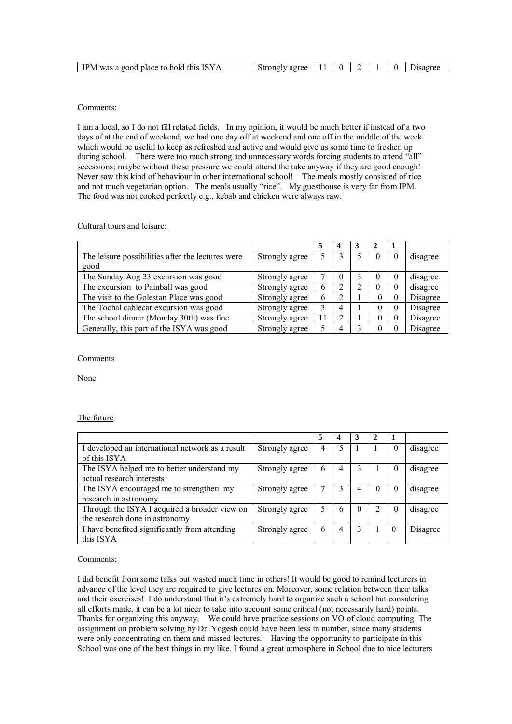## Comments:

I am a local, so I do not fill related fields. In my opinion, it would be much better if instead of a two days of at the end of weekend, we had one day off at weekend and one off in the middle of the week which would be useful to keep as refreshed and active and would give us some time to freshen up during school. There were too much strong and unnecessary words forcing students to attend "all" secessions; maybe without these pressure we could attend the take anyway if they are good enough! Never saw this kind of behaviour in other international school! The meals mostly consisted of rice and not much vegetarian option. The meals usually "rice". My guesthouse is very far from IPM. The food was not cooked perfectly e.g., kebab and chicken were always raw.

## Cultural tours and leisure:

|                                                   |                |    | 4 | 3 |          |          |          |
|---------------------------------------------------|----------------|----|---|---|----------|----------|----------|
| The leisure possibilities after the lectures were | Strongly agree |    |   |   | $\theta$ | $\Omega$ | disagree |
| good                                              |                |    |   |   |          |          |          |
| The Sunday Aug 23 excursion was good              | Strongly agree |    |   |   | $\theta$ | 0        | disagree |
| The excursion to Painball was good                | Strongly agree | 6  |   | ∍ | $\theta$ | 0        | disagree |
| The visit to the Golestan Place was good          | Strongly agree | 6  |   |   |          | 0        | Disagree |
| The Tochal cablecar excursion was good            | Strongly agree |    |   |   |          | 0        | Disagree |
| The school dinner (Monday 30th) was fine          | Strongly agree | 11 |   |   |          | 0        | Disagree |
| Generally, this part of the ISYA was good         | Strongly agree |    |   |   |          |          | Disagree |

#### Comments

None

## The future

|                                                  |                | 5 | 4 | 3        |          |          |          |
|--------------------------------------------------|----------------|---|---|----------|----------|----------|----------|
| I developed an international network as a result | Strongly agree | 4 |   |          |          | 0        | disagree |
| of this ISYA                                     |                |   |   |          |          |          |          |
| The ISYA helped me to better understand my       | Strongly agree | 6 | 4 |          |          | 0        | disagree |
| actual research interests                        |                |   |   |          |          |          |          |
| The ISYA encouraged me to strengthen my          | Strongly agree |   |   |          | $\theta$ | $\theta$ | disagree |
| research in astronomy                            |                |   |   |          |          |          |          |
| Through the ISYA I acquired a broader view on    | Strongly agree | 5 | h | $\theta$ |          | 0        | disagree |
| the research done in astronomy                   |                |   |   |          |          |          |          |
| I have benefited significantly from attending    | Strongly agree | 6 |   | 3        |          | $\theta$ | Disagree |
| this ISYA                                        |                |   |   |          |          |          |          |

#### Comments:

I did benefit from some talks but wasted much time in others! It would be good to remind lecturers in advance of the level they are required to give lectures on. Moreover, some relation between their talks and their exercises! I do understand that it's extremely hard to organize such a school but considering all efforts made, it can be a lot nicer to take into account some critical (not necessarily hard) points. Thanks for organizing this anyway. We could have practice sessions on VO of cloud computing. The assignment on problem solving by Dr. Yogesh could have been less in number, since many students were only concentrating on them and missed lectures. Having the opportunity to participate in this School was one of the best things in my like. I found a great atmosphere in School due to nice lecturers